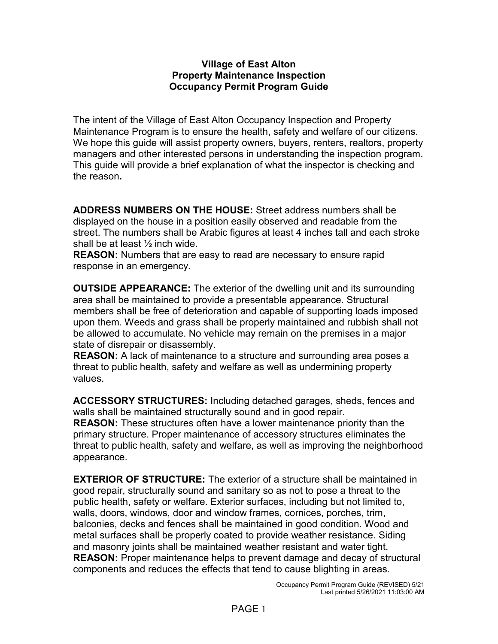### **Village of East Alton Property Maintenance Inspection Occupancy Permit Program Guide**

The intent of the Village of East Alton Occupancy Inspection and Property Maintenance Program is to ensure the health, safety and welfare of our citizens. We hope this guide will assist property owners, buyers, renters, realtors, property managers and other interested persons in understanding the inspection program. This guide will provide a brief explanation of what the inspector is checking and the reason**.**

**ADDRESS NUMBERS ON THE HOUSE:** Street address numbers shall be displayed on the house in a position easily observed and readable from the street. The numbers shall be Arabic figures at least 4 inches tall and each stroke shall be at least ½ inch wide.

**REASON:** Numbers that are easy to read are necessary to ensure rapid response in an emergency.

**OUTSIDE APPEARANCE:** The exterior of the dwelling unit and its surrounding area shall be maintained to provide a presentable appearance. Structural members shall be free of deterioration and capable of supporting loads imposed upon them. Weeds and grass shall be properly maintained and rubbish shall not be allowed to accumulate. No vehicle may remain on the premises in a major state of disrepair or disassembly.

**REASON:** A lack of maintenance to a structure and surrounding area poses a threat to public health, safety and welfare as well as undermining property values.

**ACCESSORY STRUCTURES:** Including detached garages, sheds, fences and walls shall be maintained structurally sound and in good repair.

**REASON:** These structures often have a lower maintenance priority than the primary structure. Proper maintenance of accessory structures eliminates the threat to public health, safety and welfare, as well as improving the neighborhood appearance.

**EXTERIOR OF STRUCTURE:** The exterior of a structure shall be maintained in good repair, structurally sound and sanitary so as not to pose a threat to the public health, safety or welfare. Exterior surfaces, including but not limited to, walls, doors, windows, door and window frames, cornices, porches, trim, balconies, decks and fences shall be maintained in good condition. Wood and metal surfaces shall be properly coated to provide weather resistance. Siding and masonry joints shall be maintained weather resistant and water tight. **REASON:** Proper maintenance helps to prevent damage and decay of structural components and reduces the effects that tend to cause blighting in areas.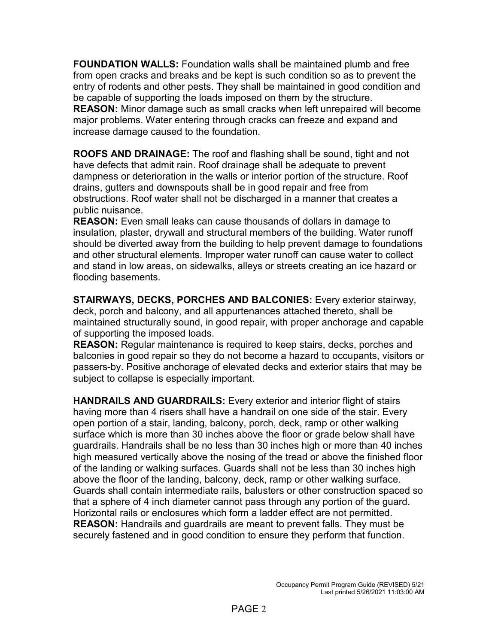**FOUNDATION WALLS:** Foundation walls shall be maintained plumb and free from open cracks and breaks and be kept is such condition so as to prevent the entry of rodents and other pests. They shall be maintained in good condition and be capable of supporting the loads imposed on them by the structure. **REASON:** Minor damage such as small cracks when left unrepaired will become major problems. Water entering through cracks can freeze and expand and increase damage caused to the foundation.

**ROOFS AND DRAINAGE:** The roof and flashing shall be sound, tight and not have defects that admit rain. Roof drainage shall be adequate to prevent dampness or deterioration in the walls or interior portion of the structure. Roof drains, gutters and downspouts shall be in good repair and free from obstructions. Roof water shall not be discharged in a manner that creates a public nuisance.

**REASON:** Even small leaks can cause thousands of dollars in damage to insulation, plaster, drywall and structural members of the building. Water runoff should be diverted away from the building to help prevent damage to foundations and other structural elements. Improper water runoff can cause water to collect and stand in low areas, on sidewalks, alleys or streets creating an ice hazard or flooding basements.

**STAIRWAYS, DECKS, PORCHES AND BALCONIES:** Every exterior stairway, deck, porch and balcony, and all appurtenances attached thereto, shall be maintained structurally sound, in good repair, with proper anchorage and capable of supporting the imposed loads.

**REASON:** Regular maintenance is required to keep stairs, decks, porches and balconies in good repair so they do not become a hazard to occupants, visitors or passers-by. Positive anchorage of elevated decks and exterior stairs that may be subject to collapse is especially important.

**HANDRAILS AND GUARDRAILS:** Every exterior and interior flight of stairs having more than 4 risers shall have a handrail on one side of the stair. Every open portion of a stair, landing, balcony, porch, deck, ramp or other walking surface which is more than 30 inches above the floor or grade below shall have guardrails. Handrails shall be no less than 30 inches high or more than 40 inches high measured vertically above the nosing of the tread or above the finished floor of the landing or walking surfaces. Guards shall not be less than 30 inches high above the floor of the landing, balcony, deck, ramp or other walking surface. Guards shall contain intermediate rails, balusters or other construction spaced so that a sphere of 4 inch diameter cannot pass through any portion of the guard. Horizontal rails or enclosures which form a ladder effect are not permitted. **REASON:** Handrails and guardrails are meant to prevent falls. They must be securely fastened and in good condition to ensure they perform that function.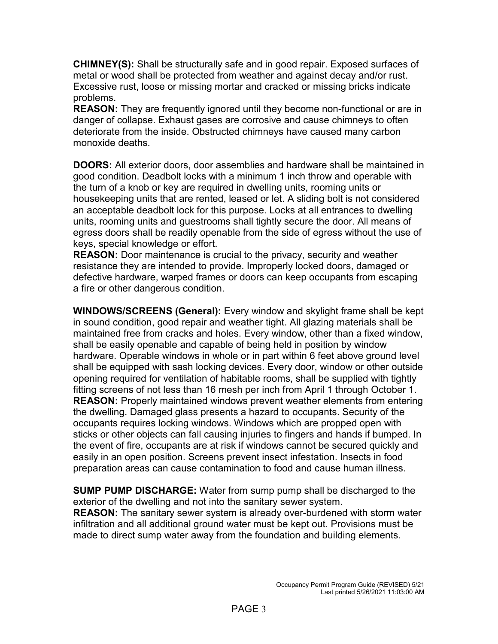**CHIMNEY(S):** Shall be structurally safe and in good repair. Exposed surfaces of metal or wood shall be protected from weather and against decay and/or rust. Excessive rust, loose or missing mortar and cracked or missing bricks indicate problems.

**REASON:** They are frequently ignored until they become non-functional or are in danger of collapse. Exhaust gases are corrosive and cause chimneys to often deteriorate from the inside. Obstructed chimneys have caused many carbon monoxide deaths.

**DOORS:** All exterior doors, door assemblies and hardware shall be maintained in good condition. Deadbolt locks with a minimum 1 inch throw and operable with the turn of a knob or key are required in dwelling units, rooming units or housekeeping units that are rented, leased or let. A sliding bolt is not considered an acceptable deadbolt lock for this purpose. Locks at all entrances to dwelling units, rooming units and guestrooms shall tightly secure the door. All means of egress doors shall be readily openable from the side of egress without the use of keys, special knowledge or effort.

**REASON:** Door maintenance is crucial to the privacy, security and weather resistance they are intended to provide. Improperly locked doors, damaged or defective hardware, warped frames or doors can keep occupants from escaping a fire or other dangerous condition.

**WINDOWS/SCREENS (General):** Every window and skylight frame shall be kept in sound condition, good repair and weather tight. All glazing materials shall be maintained free from cracks and holes. Every window, other than a fixed window, shall be easily openable and capable of being held in position by window hardware. Operable windows in whole or in part within 6 feet above ground level shall be equipped with sash locking devices. Every door, window or other outside opening required for ventilation of habitable rooms, shall be supplied with tightly fitting screens of not less than 16 mesh per inch from April 1 through October 1. **REASON:** Properly maintained windows prevent weather elements from entering the dwelling. Damaged glass presents a hazard to occupants. Security of the occupants requires locking windows. Windows which are propped open with sticks or other objects can fall causing injuries to fingers and hands if bumped. In the event of fire, occupants are at risk if windows cannot be secured quickly and easily in an open position. Screens prevent insect infestation. Insects in food preparation areas can cause contamination to food and cause human illness.

**SUMP PUMP DISCHARGE:** Water from sump pump shall be discharged to the exterior of the dwelling and not into the sanitary sewer system. **REASON:** The sanitary sewer system is already over-burdened with storm water infiltration and all additional ground water must be kept out. Provisions must be made to direct sump water away from the foundation and building elements.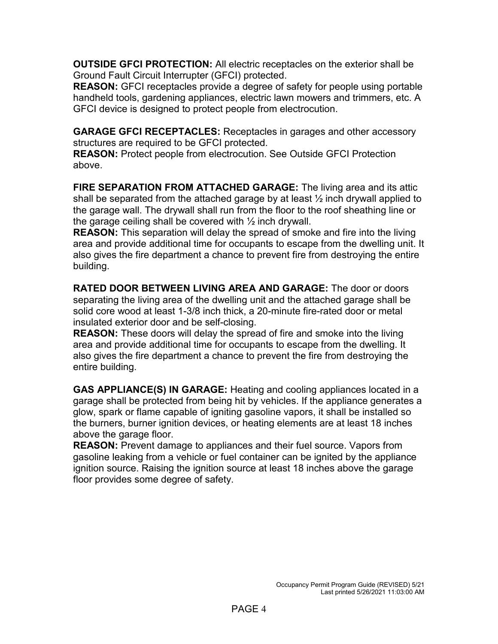**OUTSIDE GFCI PROTECTION:** All electric receptacles on the exterior shall be Ground Fault Circuit Interrupter (GFCI) protected.

**REASON:** GFCI receptacles provide a degree of safety for people using portable handheld tools, gardening appliances, electric lawn mowers and trimmers, etc. A GFCI device is designed to protect people from electrocution.

**GARAGE GFCI RECEPTACLES:** Receptacles in garages and other accessory structures are required to be GFCI protected.

**REASON:** Protect people from electrocution. See Outside GFCI Protection above.

**FIRE SEPARATION FROM ATTACHED GARAGE:** The living area and its attic shall be separated from the attached garage by at least  $\frac{1}{2}$  inch drywall applied to the garage wall. The drywall shall run from the floor to the roof sheathing line or the garage ceiling shall be covered with  $\frac{1}{2}$  inch drywall.

**REASON:** This separation will delay the spread of smoke and fire into the living area and provide additional time for occupants to escape from the dwelling unit. It also gives the fire department a chance to prevent fire from destroying the entire building.

**RATED DOOR BETWEEN LIVING AREA AND GARAGE:** The door or doors separating the living area of the dwelling unit and the attached garage shall be solid core wood at least 1-3/8 inch thick, a 20-minute fire-rated door or metal insulated exterior door and be self-closing.

**REASON:** These doors will delay the spread of fire and smoke into the living area and provide additional time for occupants to escape from the dwelling. It also gives the fire department a chance to prevent the fire from destroying the entire building.

**GAS APPLIANCE(S) IN GARAGE:** Heating and cooling appliances located in a garage shall be protected from being hit by vehicles. If the appliance generates a glow, spark or flame capable of igniting gasoline vapors, it shall be installed so the burners, burner ignition devices, or heating elements are at least 18 inches above the garage floor.

**REASON:** Prevent damage to appliances and their fuel source. Vapors from gasoline leaking from a vehicle or fuel container can be ignited by the appliance ignition source. Raising the ignition source at least 18 inches above the garage floor provides some degree of safety.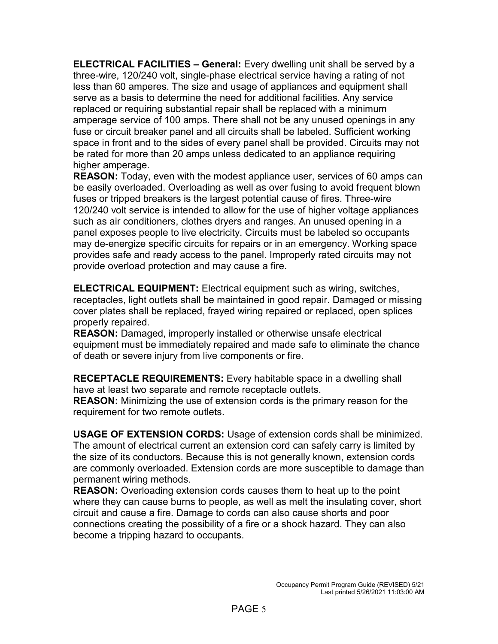**ELECTRICAL FACILITIES – General:** Every dwelling unit shall be served by a three-wire, 120/240 volt, single-phase electrical service having a rating of not less than 60 amperes. The size and usage of appliances and equipment shall serve as a basis to determine the need for additional facilities. Any service replaced or requiring substantial repair shall be replaced with a minimum amperage service of 100 amps. There shall not be any unused openings in any fuse or circuit breaker panel and all circuits shall be labeled. Sufficient working space in front and to the sides of every panel shall be provided. Circuits may not be rated for more than 20 amps unless dedicated to an appliance requiring higher amperage.

**REASON:** Today, even with the modest appliance user, services of 60 amps can be easily overloaded. Overloading as well as over fusing to avoid frequent blown fuses or tripped breakers is the largest potential cause of fires. Three-wire 120/240 volt service is intended to allow for the use of higher voltage appliances such as air conditioners, clothes dryers and ranges. An unused opening in a panel exposes people to live electricity. Circuits must be labeled so occupants may de-energize specific circuits for repairs or in an emergency. Working space provides safe and ready access to the panel. Improperly rated circuits may not provide overload protection and may cause a fire.

**ELECTRICAL EQUIPMENT:** Electrical equipment such as wiring, switches, receptacles, light outlets shall be maintained in good repair. Damaged or missing cover plates shall be replaced, frayed wiring repaired or replaced, open splices properly repaired.

**REASON:** Damaged, improperly installed or otherwise unsafe electrical equipment must be immediately repaired and made safe to eliminate the chance of death or severe injury from live components or fire.

**RECEPTACLE REQUIREMENTS:** Every habitable space in a dwelling shall have at least two separate and remote receptacle outlets.

**REASON:** Minimizing the use of extension cords is the primary reason for the requirement for two remote outlets.

**USAGE OF EXTENSION CORDS:** Usage of extension cords shall be minimized. The amount of electrical current an extension cord can safely carry is limited by the size of its conductors. Because this is not generally known, extension cords are commonly overloaded. Extension cords are more susceptible to damage than permanent wiring methods.

**REASON:** Overloading extension cords causes them to heat up to the point where they can cause burns to people, as well as melt the insulating cover, short circuit and cause a fire. Damage to cords can also cause shorts and poor connections creating the possibility of a fire or a shock hazard. They can also become a tripping hazard to occupants.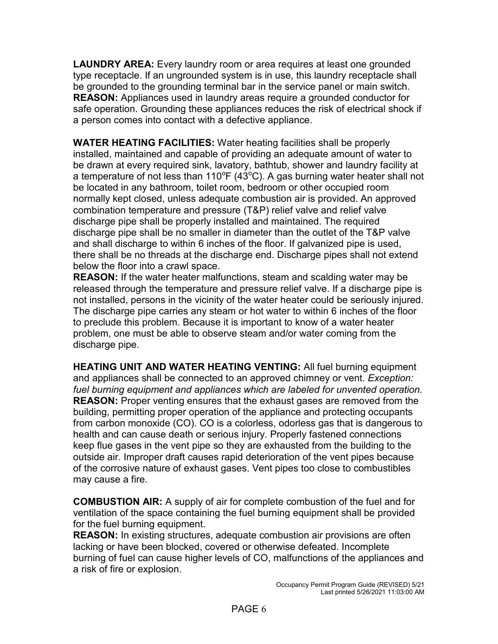**LAUNDRY AREA:** Every laundry room or area requires at least one grounded type receptacle. If an ungrounded system is in use, this laundry receptacle shall be grounded to the grounding terminal bar in the service panel or main switch. **REASON:** Appliances used in laundry areas require a grounded conductor for safe operation. Grounding these appliances reduces the risk of electrical shock if a person comes into contact with a defective appliance.

**WATER HEATING FACILITIES:** Water heating facilities shall be properly installed, maintained and capable of providing an adequate amount of water to be drawn at every required sink, lavatory, bathtub, shower and laundry facility at a temperature of not less than 110°F (43°C). A gas burning water heater shall not be located in any bathroom, toilet room, bedroom or other occupied room normally kept closed, unless adequate combustion air is provided. An approved combination temperature and pressure (T&P) relief valve and relief valve discharge pipe shall be properly installed and maintained. The required discharge pipe shall be no smaller in diameter than the outlet of the T&P valve and shall discharge to within 6 inches of the floor. If galvanized pipe is used, there shall be no threads at the discharge end. Discharge pipes shall not extend below the floor into a crawl space.

**REASON:** If the water heater malfunctions, steam and scalding water may be released through the temperature and pressure relief valve. If a discharge pipe is not installed, persons in the vicinity of the water heater could be seriously injured. The discharge pipe carries any steam or hot water to within 6 inches of the floor to preclude this problem. Because it is important to know of a water heater problem, one must be able to observe steam and/or water coming from the discharge pipe.

**HEATING UNIT AND WATER HEATING VENTING:** All fuel burning equipment and appliances shall be connected to an approved chimney or vent. *Exception: fuel burning equipment and appliances which are labeled for unvented operation.* **REASON:** Proper venting ensures that the exhaust gases are removed from the building, permitting proper operation of the appliance and protecting occupants from carbon monoxide (CO). CO is a colorless, odorless gas that is dangerous to health and can cause death or serious injury. Properly fastened connections keep flue gases in the vent pipe so they are exhausted from the building to the outside air. Improper draft causes rapid deterioration of the vent pipes because of the corrosive nature of exhaust gases. Vent pipes too close to combustibles may cause a fire.

**COMBUSTION AIR:** A supply of air for complete combustion of the fuel and for ventilation of the space containing the fuel burning equipment shall be provided for the fuel burning equipment.

**REASON:** In existing structures, adequate combustion air provisions are often lacking or have been blocked, covered or otherwise defeated. Incomplete burning of fuel can cause higher levels of CO, malfunctions of the appliances and a risk of fire or explosion.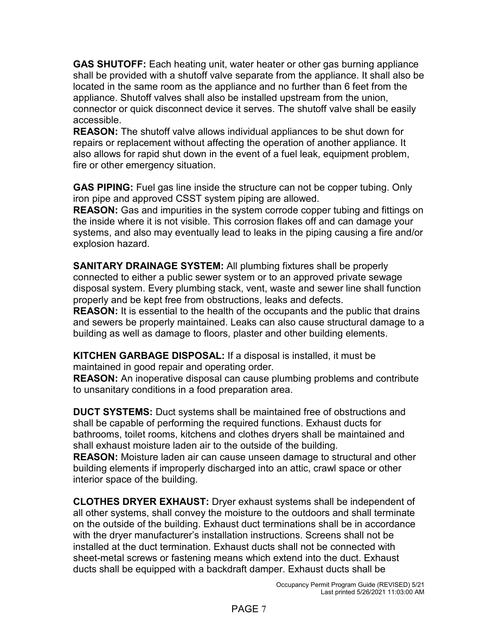**GAS SHUTOFF:** Each heating unit, water heater or other gas burning appliance shall be provided with a shutoff valve separate from the appliance. It shall also be located in the same room as the appliance and no further than 6 feet from the appliance. Shutoff valves shall also be installed upstream from the union, connector or quick disconnect device it serves. The shutoff valve shall be easily accessible.

**REASON:** The shutoff valve allows individual appliances to be shut down for repairs or replacement without affecting the operation of another appliance. It also allows for rapid shut down in the event of a fuel leak, equipment problem, fire or other emergency situation.

**GAS PIPING:** Fuel gas line inside the structure can not be copper tubing. Only iron pipe and approved CSST system piping are allowed.

**REASON:** Gas and impurities in the system corrode copper tubing and fittings on the inside where it is not visible. This corrosion flakes off and can damage your systems, and also may eventually lead to leaks in the piping causing a fire and/or explosion hazard.

**SANITARY DRAINAGE SYSTEM:** All plumbing fixtures shall be properly connected to either a public sewer system or to an approved private sewage disposal system. Every plumbing stack, vent, waste and sewer line shall function properly and be kept free from obstructions, leaks and defects.

**REASON:** It is essential to the health of the occupants and the public that drains and sewers be properly maintained. Leaks can also cause structural damage to a building as well as damage to floors, plaster and other building elements.

**KITCHEN GARBAGE DISPOSAL:** If a disposal is installed, it must be maintained in good repair and operating order.

**REASON:** An inoperative disposal can cause plumbing problems and contribute to unsanitary conditions in a food preparation area.

**DUCT SYSTEMS:** Duct systems shall be maintained free of obstructions and shall be capable of performing the required functions. Exhaust ducts for bathrooms, toilet rooms, kitchens and clothes dryers shall be maintained and shall exhaust moisture laden air to the outside of the building.

**REASON:** Moisture laden air can cause unseen damage to structural and other building elements if improperly discharged into an attic, crawl space or other interior space of the building.

**CLOTHES DRYER EXHAUST:** Dryer exhaust systems shall be independent of all other systems, shall convey the moisture to the outdoors and shall terminate on the outside of the building. Exhaust duct terminations shall be in accordance with the dryer manufacturer's installation instructions. Screens shall not be installed at the duct termination. Exhaust ducts shall not be connected with sheet-metal screws or fastening means which extend into the duct. Exhaust ducts shall be equipped with a backdraft damper. Exhaust ducts shall be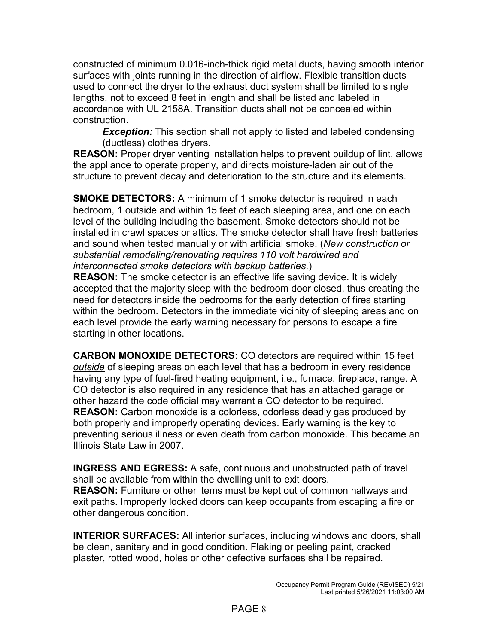constructed of minimum 0.016-inch-thick rigid metal ducts, having smooth interior surfaces with joints running in the direction of airflow. Flexible transition ducts used to connect the dryer to the exhaust duct system shall be limited to single lengths, not to exceed 8 feet in length and shall be listed and labeled in accordance with UL 2158A. Transition ducts shall not be concealed within construction.

*Exception:* This section shall not apply to listed and labeled condensing (ductless) clothes dryers.

**REASON:** Proper dryer venting installation helps to prevent buildup of lint, allows the appliance to operate properly, and directs moisture-laden air out of the structure to prevent decay and deterioration to the structure and its elements.

**SMOKE DETECTORS:** A minimum of 1 smoke detector is required in each bedroom, 1 outside and within 15 feet of each sleeping area, and one on each level of the building including the basement. Smoke detectors should not be installed in crawl spaces or attics. The smoke detector shall have fresh batteries and sound when tested manually or with artificial smoke. (*New construction or substantial remodeling/renovating requires 110 volt hardwired and interconnected smoke detectors with backup batteries.*)

**REASON:** The smoke detector is an effective life saving device. It is widely accepted that the majority sleep with the bedroom door closed, thus creating the need for detectors inside the bedrooms for the early detection of fires starting within the bedroom. Detectors in the immediate vicinity of sleeping areas and on each level provide the early warning necessary for persons to escape a fire starting in other locations.

**CARBON MONOXIDE DETECTORS:** CO detectors are required within 15 feet *outside* of sleeping areas on each level that has a bedroom in every residence having any type of fuel-fired heating equipment, i.e., furnace, fireplace, range. A CO detector is also required in any residence that has an attached garage or other hazard the code official may warrant a CO detector to be required. **REASON:** Carbon monoxide is a colorless, odorless deadly gas produced by both properly and improperly operating devices. Early warning is the key to preventing serious illness or even death from carbon monoxide. This became an Illinois State Law in 2007.

**INGRESS AND EGRESS:** A safe, continuous and unobstructed path of travel shall be available from within the dwelling unit to exit doors. **REASON:** Furniture or other items must be kept out of common hallways and exit paths. Improperly locked doors can keep occupants from escaping a fire or other dangerous condition.

**INTERIOR SURFACES:** All interior surfaces, including windows and doors, shall be clean, sanitary and in good condition. Flaking or peeling paint, cracked plaster, rotted wood, holes or other defective surfaces shall be repaired.

### PAGE 8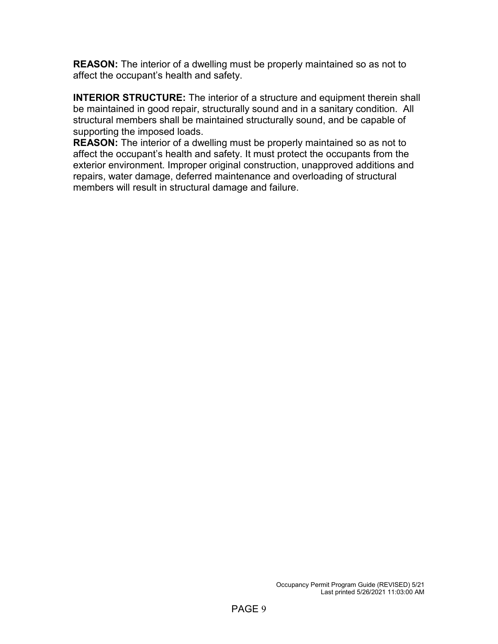**REASON:** The interior of a dwelling must be properly maintained so as not to affect the occupant's health and safety.

**INTERIOR STRUCTURE:** The interior of a structure and equipment therein shall be maintained in good repair, structurally sound and in a sanitary condition. All structural members shall be maintained structurally sound, and be capable of supporting the imposed loads.

**REASON:** The interior of a dwelling must be properly maintained so as not to affect the occupant's health and safety. It must protect the occupants from the exterior environment. Improper original construction, unapproved additions and repairs, water damage, deferred maintenance and overloading of structural members will result in structural damage and failure.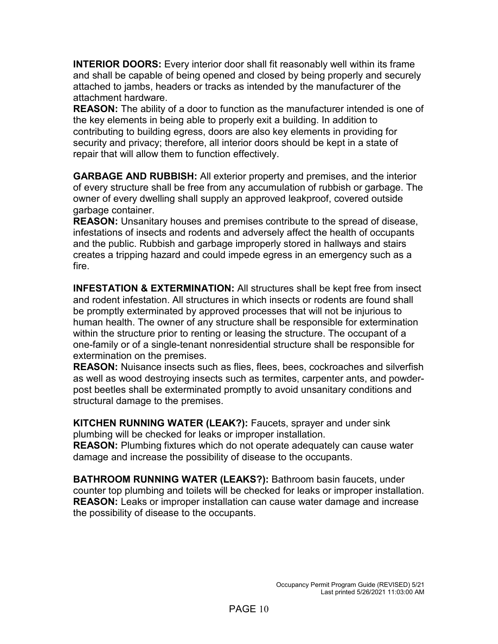**INTERIOR DOORS:** Every interior door shall fit reasonably well within its frame and shall be capable of being opened and closed by being properly and securely attached to jambs, headers or tracks as intended by the manufacturer of the attachment hardware.

**REASON:** The ability of a door to function as the manufacturer intended is one of the key elements in being able to properly exit a building. In addition to contributing to building egress, doors are also key elements in providing for security and privacy; therefore, all interior doors should be kept in a state of repair that will allow them to function effectively.

**GARBAGE AND RUBBISH:** All exterior property and premises, and the interior of every structure shall be free from any accumulation of rubbish or garbage. The owner of every dwelling shall supply an approved leakproof, covered outside garbage container.

**REASON:** Unsanitary houses and premises contribute to the spread of disease, infestations of insects and rodents and adversely affect the health of occupants and the public. Rubbish and garbage improperly stored in hallways and stairs creates a tripping hazard and could impede egress in an emergency such as a fire.

**INFESTATION & EXTERMINATION:** All structures shall be kept free from insect and rodent infestation. All structures in which insects or rodents are found shall be promptly exterminated by approved processes that will not be injurious to human health. The owner of any structure shall be responsible for extermination within the structure prior to renting or leasing the structure. The occupant of a one-family or of a single-tenant nonresidential structure shall be responsible for extermination on the premises.

**REASON:** Nuisance insects such as flies, flees, bees, cockroaches and silverfish as well as wood destroying insects such as termites, carpenter ants, and powderpost beetles shall be exterminated promptly to avoid unsanitary conditions and structural damage to the premises.

**KITCHEN RUNNING WATER (LEAK?):** Faucets, sprayer and under sink plumbing will be checked for leaks or improper installation.

**REASON:** Plumbing fixtures which do not operate adequately can cause water damage and increase the possibility of disease to the occupants.

**BATHROOM RUNNING WATER (LEAKS?):** Bathroom basin faucets, under counter top plumbing and toilets will be checked for leaks or improper installation. **REASON:** Leaks or improper installation can cause water damage and increase the possibility of disease to the occupants.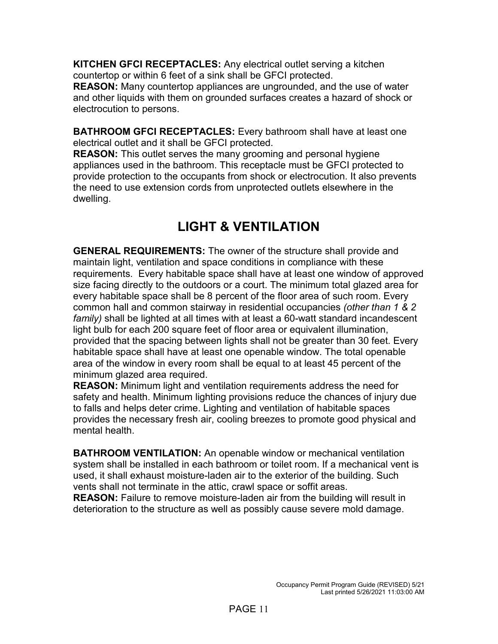**KITCHEN GFCI RECEPTACLES:** Any electrical outlet serving a kitchen countertop or within 6 feet of a sink shall be GFCI protected.

**REASON:** Many countertop appliances are ungrounded, and the use of water and other liquids with them on grounded surfaces creates a hazard of shock or electrocution to persons.

**BATHROOM GFCI RECEPTACLES:** Every bathroom shall have at least one electrical outlet and it shall be GFCI protected.

**REASON:** This outlet serves the many grooming and personal hygiene appliances used in the bathroom. This receptacle must be GFCI protected to provide protection to the occupants from shock or electrocution. It also prevents the need to use extension cords from unprotected outlets elsewhere in the dwelling.

# **LIGHT & VENTILATION**

**GENERAL REQUIREMENTS:** The owner of the structure shall provide and maintain light, ventilation and space conditions in compliance with these requirements. Every habitable space shall have at least one window of approved size facing directly to the outdoors or a court. The minimum total glazed area for every habitable space shall be 8 percent of the floor area of such room. Every common hall and common stairway in residential occupancies *(other than 1 & 2 family)* shall be lighted at all times with at least a 60-watt standard incandescent light bulb for each 200 square feet of floor area or equivalent illumination, provided that the spacing between lights shall not be greater than 30 feet. Every habitable space shall have at least one openable window. The total openable area of the window in every room shall be equal to at least 45 percent of the minimum glazed area required.

**REASON:** Minimum light and ventilation requirements address the need for safety and health. Minimum lighting provisions reduce the chances of injury due to falls and helps deter crime. Lighting and ventilation of habitable spaces provides the necessary fresh air, cooling breezes to promote good physical and mental health.

**BATHROOM VENTILATION:** An openable window or mechanical ventilation system shall be installed in each bathroom or toilet room. If a mechanical vent is used, it shall exhaust moisture-laden air to the exterior of the building. Such vents shall not terminate in the attic, crawl space or soffit areas. **REASON:** Failure to remove moisture-laden air from the building will result in deterioration to the structure as well as possibly cause severe mold damage.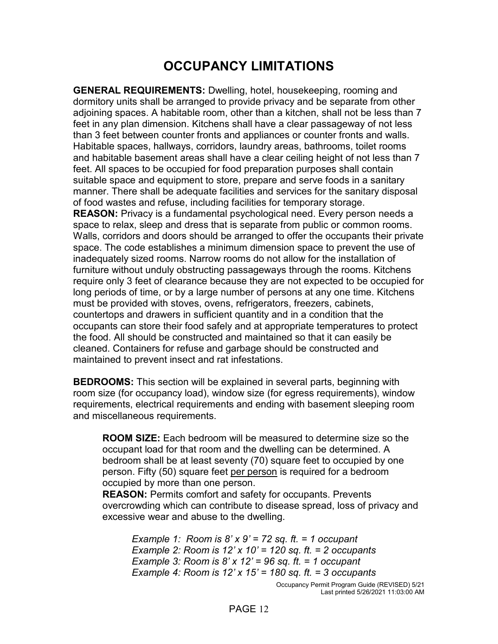## **OCCUPANCY LIMITATIONS**

**GENERAL REQUIREMENTS:** Dwelling, hotel, housekeeping, rooming and dormitory units shall be arranged to provide privacy and be separate from other adjoining spaces. A habitable room, other than a kitchen, shall not be less than 7 feet in any plan dimension. Kitchens shall have a clear passageway of not less than 3 feet between counter fronts and appliances or counter fronts and walls. Habitable spaces, hallways, corridors, laundry areas, bathrooms, toilet rooms and habitable basement areas shall have a clear ceiling height of not less than 7 feet. All spaces to be occupied for food preparation purposes shall contain suitable space and equipment to store, prepare and serve foods in a sanitary manner. There shall be adequate facilities and services for the sanitary disposal of food wastes and refuse, including facilities for temporary storage. **REASON:** Privacy is a fundamental psychological need. Every person needs a space to relax, sleep and dress that is separate from public or common rooms. Walls, corridors and doors should be arranged to offer the occupants their private space. The code establishes a minimum dimension space to prevent the use of inadequately sized rooms. Narrow rooms do not allow for the installation of furniture without unduly obstructing passageways through the rooms. Kitchens require only 3 feet of clearance because they are not expected to be occupied for long periods of time, or by a large number of persons at any one time. Kitchens must be provided with stoves, ovens, refrigerators, freezers, cabinets, countertops and drawers in sufficient quantity and in a condition that the occupants can store their food safely and at appropriate temperatures to protect the food. All should be constructed and maintained so that it can easily be cleaned. Containers for refuse and garbage should be constructed and maintained to prevent insect and rat infestations.

**BEDROOMS:** This section will be explained in several parts, beginning with room size (for occupancy load), window size (for egress requirements), window requirements, electrical requirements and ending with basement sleeping room and miscellaneous requirements.

**ROOM SIZE:** Each bedroom will be measured to determine size so the occupant load for that room and the dwelling can be determined. A bedroom shall be at least seventy (70) square feet to occupied by one person. Fifty (50) square feet per person is required for a bedroom occupied by more than one person.

**REASON:** Permits comfort and safety for occupants. Prevents overcrowding which can contribute to disease spread, loss of privacy and excessive wear and abuse to the dwelling.

Occupancy Permit Program Guide (REVISED) 5/21 Last printed 5/26/2021 11:03:00 AM *Example 1: Room is 8' x 9' = 72 sq. ft. = 1 occupant Example 2: Room is 12' x 10' = 120 sq. ft. = 2 occupants Example 3: Room is 8' x 12' = 96 sq. ft. = 1 occupant Example 4: Room is 12' x 15' = 180 sq. ft. = 3 occupants*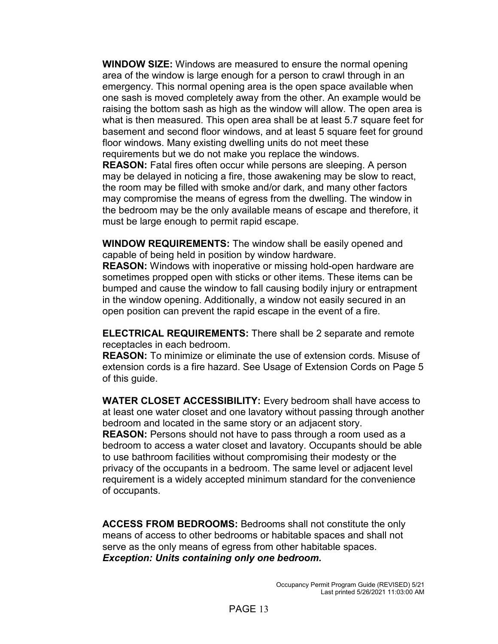**WINDOW SIZE:** Windows are measured to ensure the normal opening area of the window is large enough for a person to crawl through in an emergency. This normal opening area is the open space available when one sash is moved completely away from the other. An example would be raising the bottom sash as high as the window will allow. The open area is what is then measured. This open area shall be at least 5.7 square feet for basement and second floor windows, and at least 5 square feet for ground floor windows. Many existing dwelling units do not meet these requirements but we do not make you replace the windows. **REASON:** Fatal fires often occur while persons are sleeping. A person may be delayed in noticing a fire, those awakening may be slow to react,

the room may be filled with smoke and/or dark, and many other factors may compromise the means of egress from the dwelling. The window in the bedroom may be the only available means of escape and therefore, it must be large enough to permit rapid escape.

**WINDOW REQUIREMENTS:** The window shall be easily opened and capable of being held in position by window hardware.

**REASON:** Windows with inoperative or missing hold-open hardware are sometimes propped open with sticks or other items. These items can be bumped and cause the window to fall causing bodily injury or entrapment in the window opening. Additionally, a window not easily secured in an open position can prevent the rapid escape in the event of a fire.

**ELECTRICAL REQUIREMENTS:** There shall be 2 separate and remote receptacles in each bedroom.

**REASON:** To minimize or eliminate the use of extension cords. Misuse of extension cords is a fire hazard. See Usage of Extension Cords on Page 5 of this guide.

**WATER CLOSET ACCESSIBILITY:** Every bedroom shall have access to at least one water closet and one lavatory without passing through another bedroom and located in the same story or an adjacent story. **REASON:** Persons should not have to pass through a room used as a bedroom to access a water closet and lavatory. Occupants should be able to use bathroom facilities without compromising their modesty or the privacy of the occupants in a bedroom. The same level or adjacent level requirement is a widely accepted minimum standard for the convenience of occupants.

**ACCESS FROM BEDROOMS:** Bedrooms shall not constitute the only means of access to other bedrooms or habitable spaces and shall not serve as the only means of egress from other habitable spaces. *Exception: Units containing only one bedroom.*

### PAGE 13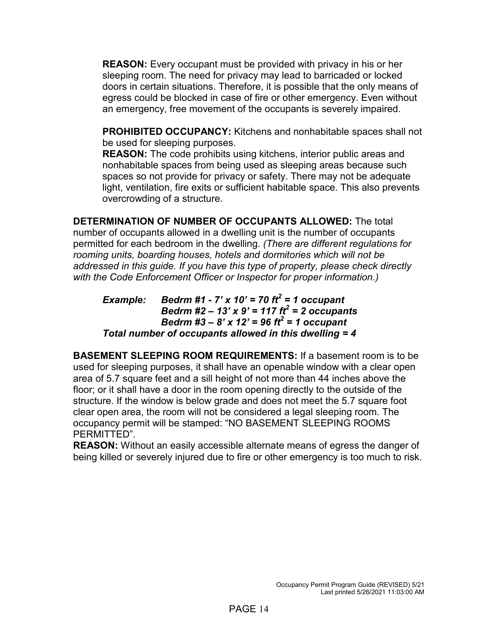**REASON:** Every occupant must be provided with privacy in his or her sleeping room. The need for privacy may lead to barricaded or locked doors in certain situations. Therefore, it is possible that the only means of egress could be blocked in case of fire or other emergency. Even without an emergency, free movement of the occupants is severely impaired.

**PROHIBITED OCCUPANCY:** Kitchens and nonhabitable spaces shall not be used for sleeping purposes.

**REASON:** The code prohibits using kitchens, interior public areas and nonhabitable spaces from being used as sleeping areas because such spaces so not provide for privacy or safety. There may not be adequate light, ventilation, fire exits or sufficient habitable space. This also prevents overcrowding of a structure.

**DETERMINATION OF NUMBER OF OCCUPANTS ALLOWED:** The total number of occupants allowed in a dwelling unit is the number of occupants permitted for each bedroom in the dwelling. *(There are different regulations for rooming units, boarding houses, hotels and dormitories which will not be addressed in this guide. If you have this type of property, please check directly with the Code Enforcement Officer or Inspector for proper information.)*

*Example: Bedrm #1 - 7' x 10' = 70 ft<sup>2</sup> = 1 occupant Bedrm #2 – 13' x 9' = 117 ft2 = 2 occupants Bedrm #3 – 8' x 12' = 96 ft2 = 1 occupant Total number of occupants allowed in this dwelling = 4*

**BASEMENT SLEEPING ROOM REQUIREMENTS:** If a basement room is to be used for sleeping purposes, it shall have an openable window with a clear open area of 5.7 square feet and a sill height of not more than 44 inches above the floor; or it shall have a door in the room opening directly to the outside of the structure. If the window is below grade and does not meet the 5.7 square foot clear open area, the room will not be considered a legal sleeping room. The occupancy permit will be stamped: "NO BASEMENT SLEEPING ROOMS PERMITTED".

**REASON:** Without an easily accessible alternate means of egress the danger of being killed or severely injured due to fire or other emergency is too much to risk.